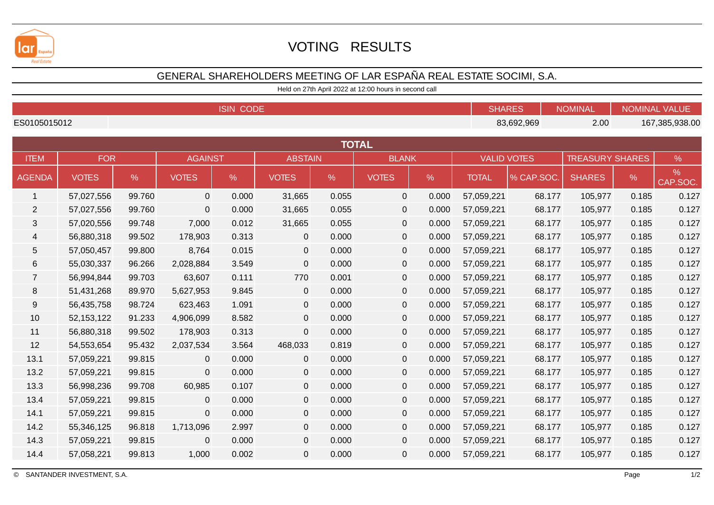

## VOTING RESULTS

## GENERAL SHAREHOLDERS MEETING OF LAR ESPAÑA REAL ESTATE SOCIMI, S.A.

Held on 27th April 2022 at 12:00 hours in second call

| <b>ISIN CODE</b> |              |        |                |       |                |       |                     |       |                    | <b>SHARES</b><br><b>NOMINAL</b> |                        | <b>NOMINAL VALUE</b> |                |  |
|------------------|--------------|--------|----------------|-------|----------------|-------|---------------------|-------|--------------------|---------------------------------|------------------------|----------------------|----------------|--|
| ES0105015012     |              |        |                |       |                |       |                     |       |                    | 83,692,969                      |                        |                      | 167,385,938.00 |  |
| <b>TOTAL</b>     |              |        |                |       |                |       |                     |       |                    |                                 |                        |                      |                |  |
| <b>ITEM</b>      | <b>FOR</b>   |        | <b>AGAINST</b> |       | <b>ABSTAIN</b> |       | <b>BLANK</b>        |       | <b>VALID VOTES</b> |                                 | <b>TREASURY SHARES</b> |                      | $\%$           |  |
| <b>AGENDA</b>    | <b>VOTES</b> | $\%$   | <b>VOTES</b>   | $\%$  | <b>VOTES</b>   | $\%$  | <b>VOTES</b>        | $\%$  | <b>TOTAL</b>       | % CAP.SOC.                      | <b>SHARES</b>          | $\%$                 | %<br>CAP.SOC.  |  |
| $\mathbf{1}$     | 57,027,556   | 99.760 | $\mathbf 0$    | 0.000 | 31,665         | 0.055 | $\mathbf 0$         | 0.000 | 57,059,221         | 68.177                          | 105,977                | 0.185                | 0.127          |  |
| $\overline{2}$   | 57,027,556   | 99.760 | $\mathbf 0$    | 0.000 | 31,665         | 0.055 | $\mathbf 0$         | 0.000 | 57,059,221         | 68.177                          | 105,977                | 0.185                | 0.127          |  |
| 3                | 57,020,556   | 99.748 | 7,000          | 0.012 | 31,665         | 0.055 | $\mathbf 0$         | 0.000 | 57,059,221         | 68.177                          | 105,977                | 0.185                | 0.127          |  |
| $\overline{4}$   | 56,880,318   | 99.502 | 178,903        | 0.313 | $\mathbf 0$    | 0.000 | $\mathbf 0$         | 0.000 | 57,059,221         | 68.177                          | 105,977                | 0.185                | 0.127          |  |
| $\sqrt{5}$       | 57,050,457   | 99.800 | 8,764          | 0.015 | $\mathbf 0$    | 0.000 | $\mathbf 0$         | 0.000 | 57,059,221         | 68.177                          | 105,977                | 0.185                | 0.127          |  |
| $\,6$            | 55,030,337   | 96.266 | 2,028,884      | 3.549 | $\mathbf 0$    | 0.000 | $\mathsf{O}\xspace$ | 0.000 | 57,059,221         | 68.177                          | 105,977                | 0.185                | 0.127          |  |
| $\overline{7}$   | 56,994,844   | 99.703 | 63,607         | 0.111 | 770            | 0.001 | $\mathbf 0$         | 0.000 | 57,059,221         | 68.177                          | 105,977                | 0.185                | 0.127          |  |
| 8                | 51,431,268   | 89.970 | 5,627,953      | 9.845 | $\mathbf 0$    | 0.000 | $\mathbf 0$         | 0.000 | 57,059,221         | 68.177                          | 105,977                | 0.185                | 0.127          |  |
| 9                | 56,435,758   | 98.724 | 623,463        | 1.091 | $\mathbf 0$    | 0.000 | $\mathbf 0$         | 0.000 | 57,059,221         | 68.177                          | 105,977                | 0.185                | 0.127          |  |
| 10               | 52,153,122   | 91.233 | 4,906,099      | 8.582 | $\overline{0}$ | 0.000 | $\mathbf 0$         | 0.000 | 57,059,221         | 68.177                          | 105,977                | 0.185                | 0.127          |  |
| 11               | 56,880,318   | 99.502 | 178,903        | 0.313 | $\overline{0}$ | 0.000 | $\mathbf 0$         | 0.000 | 57,059,221         | 68.177                          | 105,977                | 0.185                | 0.127          |  |
| 12               | 54,553,654   | 95.432 | 2,037,534      | 3.564 | 468,033        | 0.819 | $\mathbf 0$         | 0.000 | 57,059,221         | 68.177                          | 105,977                | 0.185                | 0.127          |  |
| 13.1             | 57,059,221   | 99.815 | $\mathbf 0$    | 0.000 | $\overline{0}$ | 0.000 | $\overline{0}$      | 0.000 | 57,059,221         | 68.177                          | 105,977                | 0.185                | 0.127          |  |
| 13.2             | 57,059,221   | 99.815 | $\mathbf 0$    | 0.000 | $\mathbf 0$    | 0.000 | $\mathbf 0$         | 0.000 | 57,059,221         | 68.177                          | 105,977                | 0.185                | 0.127          |  |
| 13.3             | 56,998,236   | 99.708 | 60,985         | 0.107 | $\mathbf 0$    | 0.000 | $\mathbf 0$         | 0.000 | 57,059,221         | 68.177                          | 105,977                | 0.185                | 0.127          |  |
| 13.4             | 57,059,221   | 99.815 | $\mathbf 0$    | 0.000 | $\overline{0}$ | 0.000 | $\mathsf{O}\xspace$ | 0.000 | 57,059,221         | 68.177                          | 105,977                | 0.185                | 0.127          |  |
| 14.1             | 57,059,221   | 99.815 | $\mathbf 0$    | 0.000 | $\mathbf 0$    | 0.000 | $\mathbf 0$         | 0.000 | 57,059,221         | 68.177                          | 105,977                | 0.185                | 0.127          |  |
| 14.2             | 55,346,125   | 96.818 | 1,713,096      | 2.997 | $\overline{0}$ | 0.000 | $\mathbf 0$         | 0.000 | 57,059,221         | 68.177                          | 105,977                | 0.185                | 0.127          |  |
| 14.3             | 57,059,221   | 99.815 | $\mathbf 0$    | 0.000 | $\mathbf 0$    | 0.000 | $\mathbf 0$         | 0.000 | 57,059,221         | 68.177                          | 105,977                | 0.185                | 0.127          |  |
| 14.4             | 57,058,221   | 99.813 | 1,000          | 0.002 | $\overline{0}$ | 0.000 | $\mathbf 0$         | 0.000 | 57,059,221         | 68.177                          | 105,977                | 0.185                | 0.127          |  |

 $1/2$